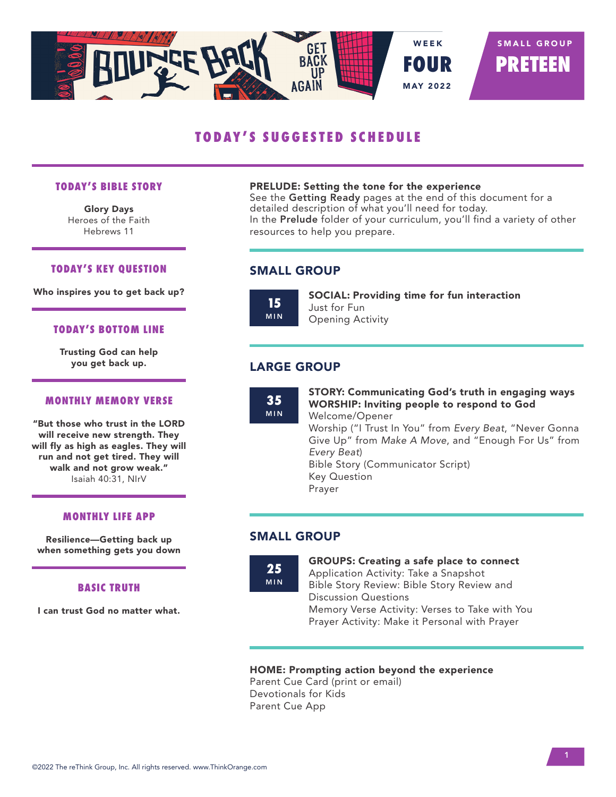

# **TODAY'S SUGGESTED SCHEDULE**

#### **TODAY'S BIBLE STORY**

Glory Days Heroes of the Faith Hebrews 11

#### **TODAY'S KEY QUESTION**

Who inspires you to get back up?

#### **TODAY'S BOTTOM LINE**

Trusting God can help you get back up.

## **MONTHLY MEMORY VERSE**

"But those who trust in the LORD will receive new strength. They will fly as high as eagles. They will run and not get tired. They will walk and not grow weak." Isaiah 40:31, NIrV

#### **MONTHLY LIFE APP**

Resilience—Getting back up when something gets you down

## **BASIC TRUTH**

I can trust God no matter what.

#### PRELUDE: Setting the tone for the experience

See the Getting Ready pages at the end of this document for a detailed description of what you'll need for today. In the Prelude folder of your curriculum, you'll find a variety of other resources to help you prepare.

## SMALL GROUP



SOCIAL: Providing time for fun interaction Just for Fun Opening Activity

# LARGE GROUP

**35** MIN STORY: Communicating God's truth in engaging ways WORSHIP: Inviting people to respond to God Welcome/Opener Worship ("I Trust In You" from *Every Beat*, "Never Gonna Give Up" from *Make A Move*, and "Enough For Us" from *Every Beat*) Bible Story (Communicator Script) Key Question Prayer

## SMALL GROUP



GROUPS: Creating a safe place to connect Application Activity: Take a Snapshot Bible Story Review: Bible Story Review and Discussion Questions Memory Verse Activity: Verses to Take with You Prayer Activity: Make it Personal with Prayer

## HOME: Prompting action beyond the experience

Parent Cue Card (print or email) Devotionals for Kids Parent Cue App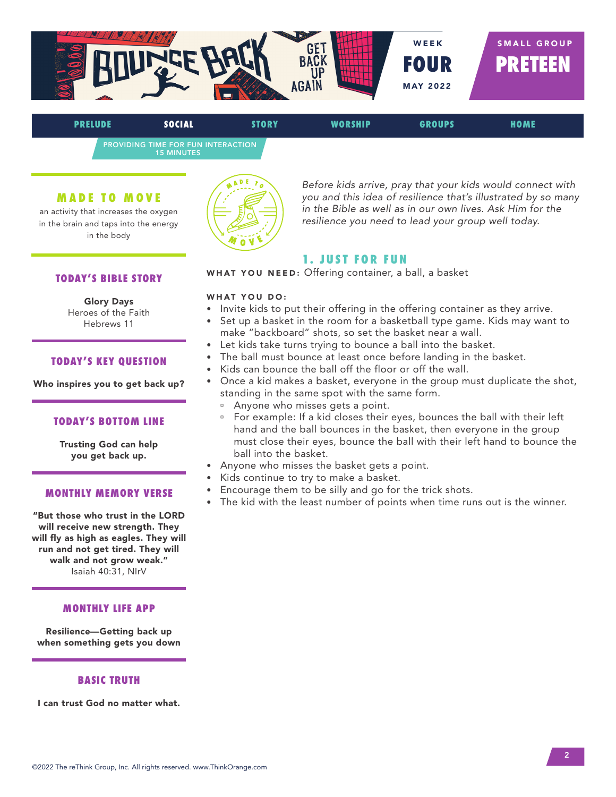

PROVIDING TIME FOR FUN INTERACTION 15 MINUTES

## **MADE TO MOVE**

an activity that increases the oxygen in the brain and taps into the energy in the body



*Before kids arrive, pray that your kids would connect with you and this idea of resilience that's illustrated by so many in the Bible as well as in our own lives. Ask Him for the resilience you need to lead your group well today.*

## **1. JUST FOR FUN**

WHAT YOU NEED: Offering container, a ball, a basket

## WHAT YOU DO:

- Invite kids to put their offering in the offering container as they arrive.
- Set up a basket in the room for a basketball type game. Kids may want to make "backboard" shots, so set the basket near a wall.
- Let kids take turns trying to bounce a ball into the basket.
- The ball must bounce at least once before landing in the basket.
- Kids can bounce the ball off the floor or off the wall.
- Once a kid makes a basket, everyone in the group must duplicate the shot, standing in the same spot with the same form.
	- <sup>□</sup> Anyone who misses gets a point.
	- <sup>n</sup> For example: If a kid closes their eyes, bounces the ball with their left hand and the ball bounces in the basket, then everyone in the group must close their eyes, bounce the ball with their left hand to bounce the ball into the basket.
- Anyone who misses the basket gets a point.
- Kids continue to try to make a basket.
- Encourage them to be silly and go for the trick shots.
- The kid with the least number of points when time runs out is the winner.

## **TODAY'S BIBLE STORY**

# Glory Days

Heroes of the Faith Hebrews 11

## **TODAY'S KEY QUESTION**

Who inspires you to get back up?

## **TODAY'S BOTTOM LINE**

Trusting God can help you get back up.

## **MONTHLY MEMORY VERSE**

"But those who trust in the LORD will receive new strength. They will fly as high as eagles. They will run and not get tired. They will walk and not grow weak." Isaiah 40:31, NIrV

## **MONTHLY LIFE APP**

Resilience—Getting back up when something gets you down

## **BASIC TRUTH**

I can trust God no matter what.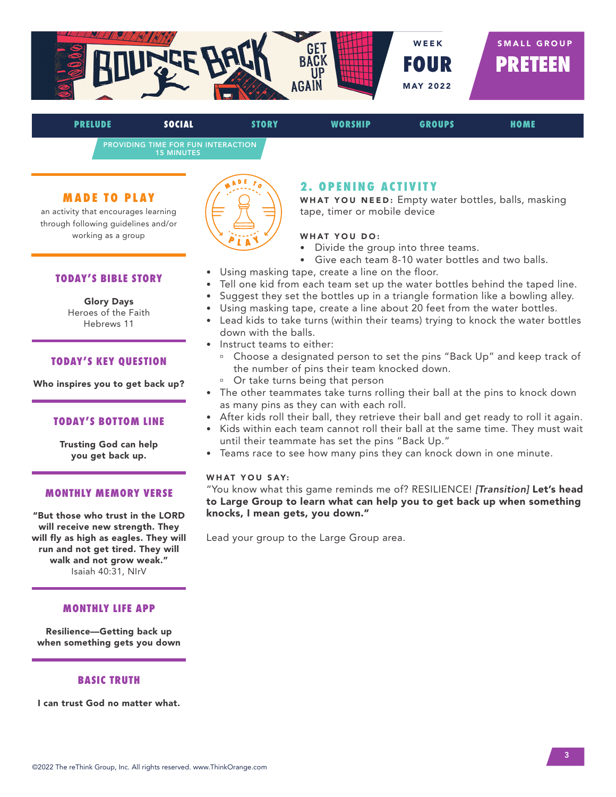

PROVIDING TIME FOR FUN INTERACTION 15 MINUTES

## **MADE TO PLAY**

an activity that encourages learning through following guidelines and/or working as a group

## **TODAY'S BIBLE STORY**

#### Glory Days Heroes of the Faith

Hebrews 11

## **TODAY'S KEY QUESTION**

Who inspires you to get back up?

### **TODAY'S BOTTOM LINE**

Trusting God can help you get back up.

## **MONTHLY MEMORY VERSE**

"But those who trust in the LORD will receive new strength. They will fly as high as eagles. They will run and not get tired. They will walk and not grow weak." Isaiah 40:31, NIrV

#### **MONTHLY LIFE APP**

Resilience—Getting back up when something gets you down

### **BASIC TRUTH**

I can trust God no matter what.



## **2. OPENING ACTIVITY**

WHAT YOU NEED: Empty water bottles, balls, masking tape, timer or mobile device

#### WHAT YOU DO:

- Divide the group into three teams.
- Give each team 8-10 water bottles and two balls.
- Using masking tape, create a line on the floor.
- Tell one kid from each team set up the water bottles behind the taped line.
- Suggest they set the bottles up in a triangle formation like a bowling alley.
- Using masking tape, create a line about 20 feet from the water bottles.
- Lead kids to take turns (within their teams) trying to knock the water bottles down with the balls.
- Instruct teams to either:
	- <sup>o</sup> Choose a designated person to set the pins "Back Up" and keep track of the number of pins their team knocked down.
	- <sup>□</sup> Or take turns being that person
- The other teammates take turns rolling their ball at the pins to knock down as many pins as they can with each roll.
- After kids roll their ball, they retrieve their ball and get ready to roll it again.
- Kids within each team cannot roll their ball at the same time. They must wait until their teammate has set the pins "Back Up."
- Teams race to see how many pins they can knock down in one minute.

## WHAT YOU SAY:

"You know what this game reminds me of? RESILIENCE! *[Transition]* Let's head to Large Group to learn what can help you to get back up when something knocks, I mean gets, you down."

Lead your group to the Large Group area.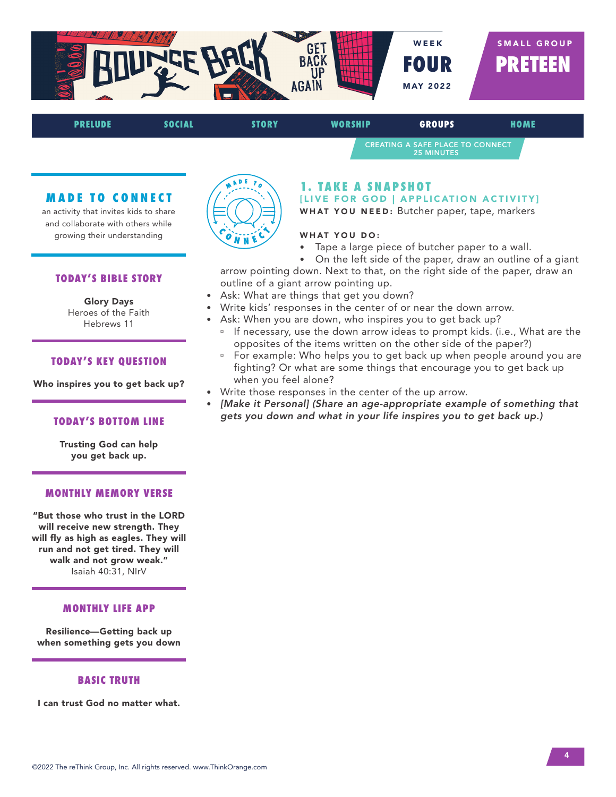

CREATING A SAFE PLACE TO CONNECT 25 MINUTES

## **MADE TO CONNECT**

an activity that invites kids to share and collaborate with others while growing their understanding

## **TODAY'S BIBLE STORY**

#### Glory Days Heroes of the Faith Hebrews 11

#### **TODAY'S KEY QUESTION**

Who inspires you to get back up?

#### **TODAY'S BOTTOM LINE**

Trusting God can help you get back up.

## **MONTHLY MEMORY VERSE**

"But those who trust in the LORD will receive new strength. They will fly as high as eagles. They will run and not get tired. They will walk and not grow weak." Isaiah 40:31, NIrV

#### **MONTHLY LIFE APP**

Resilience—Getting back up when something gets you down

### **BASIC TRUTH**

I can trust God no matter what.



## **1. TAKE A SNAPSHOT**

[LIVE FOR GOD | APPLICATION ACTIVITY] WHAT YOU NEED: Butcher paper, tape, markers

## WHAT YOU DO:

- Tape a large piece of butcher paper to a wall.
- On the left side of the paper, draw an outline of a giant

arrow pointing down. Next to that, on the right side of the paper, draw an outline of a giant arrow pointing up.

- Ask: What are things that get you down?
- Write kids' responses in the center of or near the down arrow.
- Ask: When you are down, who inspires you to get back up?
	- <sup>n</sup> If necessary, use the down arrow ideas to prompt kids. (i.e., What are the opposites of the items written on the other side of the paper?)
	- For example: Who helps you to get back up when people around you are fighting? Or what are some things that encourage you to get back up when you feel alone?
- Write those responses in the center of the up arrow.
- *[Make it Personal] (Share an age-appropriate example of something that gets you down and what in your life inspires you to get back up.)*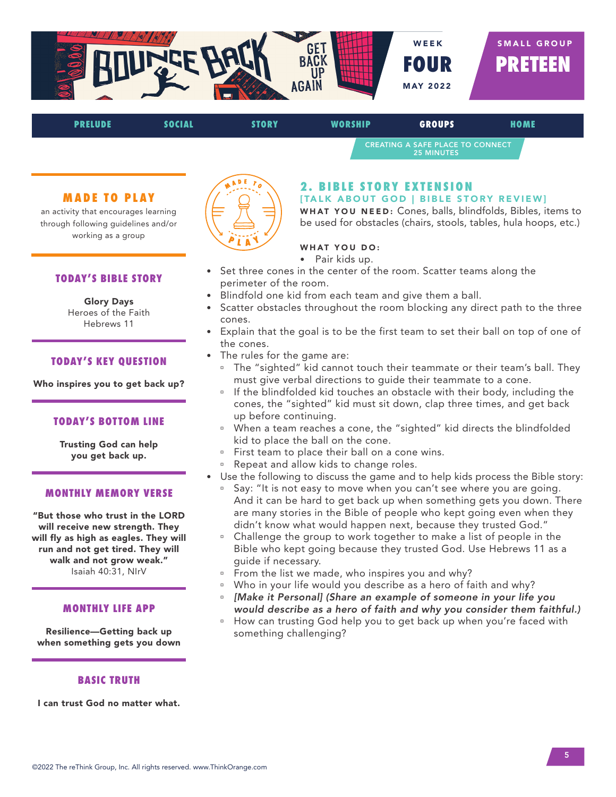

CREATING A SAFE PLACE TO CONNECT 25 MINUTES

## **MADE TO PLAY**

an activity that encourages learning through following guidelines and/or working as a group

### **TODAY'S BIBLE STORY**

## Glory Days Heroes of the Faith

Hebrews 11

### **TODAY'S KEY QUESTION**

Who inspires you to get back up?

### **TODAY'S BOTTOM LINE**

Trusting God can help you get back up.

## **MONTHLY MEMORY VERSE**

"But those who trust in the LORD will receive new strength. They will fly as high as eagles. They will run and not get tired. They will walk and not grow weak." Isaiah 40:31, NIrV

#### **MONTHLY LIFE APP**

Resilience—Getting back up when something gets you down

#### **BASIC TRUTH**

I can trust God no matter what.



## **2. BIBLE STORY EXTENSION**

[TALK ABOUT GOD | BIBLE STORY REVIEW]

WHAT YOU NEED: Cones, balls, blindfolds, Bibles, items to be used for obstacles (chairs, stools, tables, hula hoops, etc.)

#### WHAT YOU DO:

- Pair kids up.
- Set three cones in the center of the room. Scatter teams along the perimeter of the room.
- Blindfold one kid from each team and give them a ball.
- Scatter obstacles throughout the room blocking any direct path to the three cones.
- Explain that the goal is to be the first team to set their ball on top of one of the cones.
- The rules for the game are:
	- <sup>n</sup> The "sighted" kid cannot touch their teammate or their team's ball. They must give verbal directions to guide their teammate to a cone.
	- If the blindfolded kid touches an obstacle with their body, including the cones, the "sighted" kid must sit down, clap three times, and get back up before continuing.
	- <sup>n</sup> When a team reaches a cone, the "sighted" kid directs the blindfolded kid to place the ball on the cone.
	- <sup>o</sup> First team to place their ball on a cone wins.
	- Repeat and allow kids to change roles.
- Use the following to discuss the game and to help kids process the Bible story:
	- <sup>o</sup> Say: "It is not easy to move when you can't see where you are going. And it can be hard to get back up when something gets you down. There are many stories in the Bible of people who kept going even when they didn't know what would happen next, because they trusted God."
	- <sup>o</sup> Challenge the group to work together to make a list of people in the Bible who kept going because they trusted God. Use Hebrews 11 as a guide if necessary.
	- From the list we made, who inspires you and why?
	- <sup>o</sup> Who in your life would you describe as a hero of faith and why?
	- ú *[Make it Personal] (Share an example of someone in your life you would describe as a hero of faith and why you consider them faithful.)*
	- ú How can trusting God help you to get back up when you're faced with something challenging?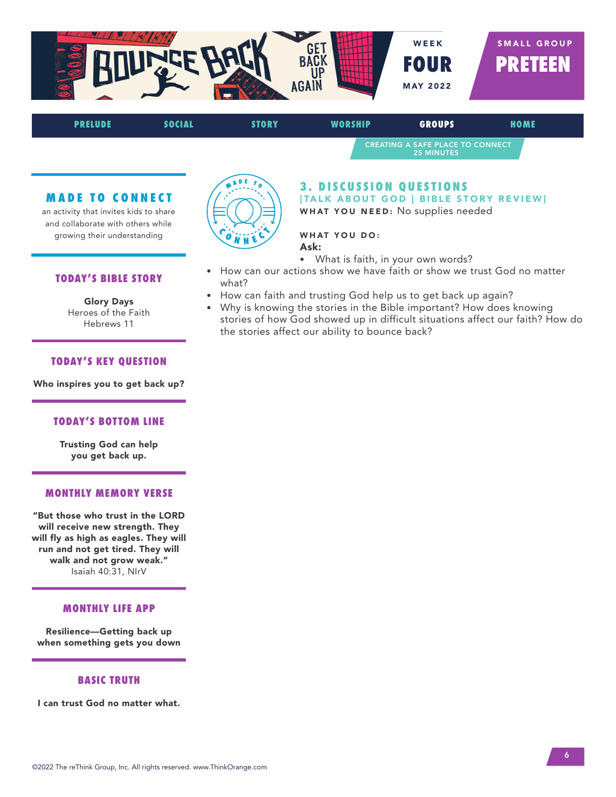



## **MADE TO CONNECT**

an activity that invites kids to share and collaborate with others while growing their understanding



## **3. DISCUSSION OUESTIONS** [TALK ABOUT GOD | BIBLE STORY REVIEW] WHAT YOU NEED: No supplies needed

## WHAT YOU DO:

- Ask:
- What is faith, in your own words?
- How can our actions show we have faith or show we trust God no matter what?
- How can faith and trusting God help us to get back up again?
- Why is knowing the stories in the Bible important? How does knowing stories of how God showed up in difficult situations affect our faith? How do the stories affect our ability to bounce back?

#### **TODAY'S BIBLE STORY**

#### Glory Days Heroes of the Faith Hebrews 11

## **TODAY'S KEY QUESTION**

Who inspires you to get back up?

## **TODAY'S BOTTOM LINE**

Trusting God can help you get back up.

## **MONTHLY MEMORY VERSE**

"But those who trust in the LORD will receive new strength. They will fly as high as eagles. They will run and not get tired. They will walk and not grow weak." Isaiah 40:31, NIrV

#### **MONTHLY LIFE APP**

Resilience—Getting back up when something gets you down

### **BASIC TRUTH**

I can trust God no matter what.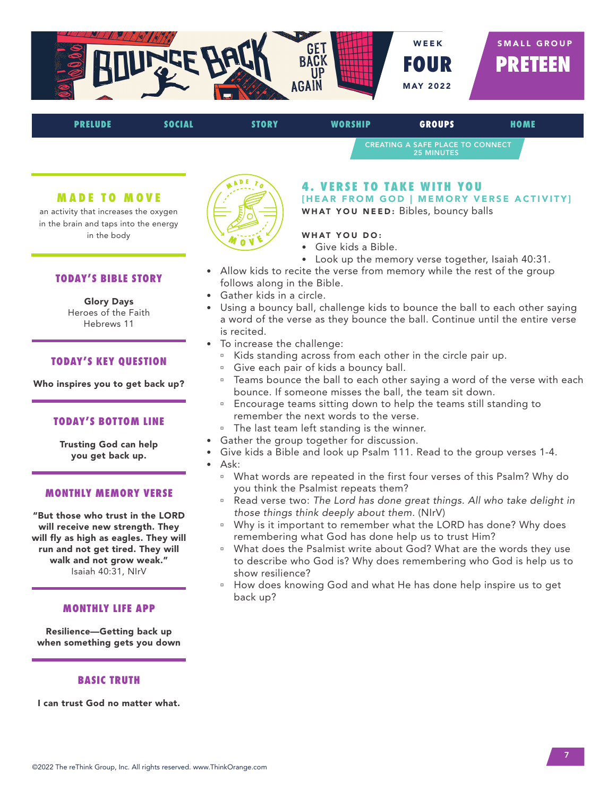

CREATING A SAFE PLACE TO CONNECT 25 MINUTES

## **MADE TO MOVE**

an activity that increases the oxygen in the brain and taps into the energy in the body

## **TODAY'S BIBLE STORY**

#### Glory Days Heroes of the Faith Hebrews 11

#### **TODAY'S KEY QUESTION**

Who inspires you to get back up?

## **TODAY'S BOTTOM LINE**

Trusting God can help you get back up.

## **MONTHLY MEMORY VERSE**

"But those who trust in the LORD will receive new strength. They will fly as high as eagles. They will run and not get tired. They will walk and not grow weak." Isaiah 40:31, NIrV

#### **MONTHLY LIFE APP**

Resilience—Getting back up when something gets you down

#### **BASIC TRUTH**

I can trust God no matter what.



## **4. VERSE TO TAKE WITH YOU**

[HEAR FROM GOD | MEMORY VERSE ACTIVITY] WHAT YOU NEED: Bibles, bouncy balls

## WHAT YOU DO:

- Give kids a Bible.
- Look up the memory verse together, Isaiah 40:31.
- Allow kids to recite the verse from memory while the rest of the group follows along in the Bible.
- Gather kids in a circle.
- Using a bouncy ball, challenge kids to bounce the ball to each other saying a word of the verse as they bounce the ball. Continue until the entire verse is recited.
- To increase the challenge:
	- <sup>o</sup> Kids standing across from each other in the circle pair up.
	- <sup>□</sup> Give each pair of kids a bouncy ball.
	- Teams bounce the ball to each other saying a word of the verse with each bounce. If someone misses the ball, the team sit down.
	- <sup>n</sup> Encourage teams sitting down to help the teams still standing to remember the next words to the verse.
	- <sup>n</sup> The last team left standing is the winner.
- Gather the group together for discussion.
- Give kids a Bible and look up Psalm 111. Read to the group verses 1-4.
- Ask:
	- What words are repeated in the first four verses of this Psalm? Why do you think the Psalmist repeats them?
	- <sup>a</sup> Read verse two: The Lord has done great things. All who take delight in *those things think deeply about them.* (NIrV)
	- <sup>o</sup> Why is it important to remember what the LORD has done? Why does remembering what God has done help us to trust Him?
	- ú What does the Psalmist write about God? What are the words they use to describe who God is? Why does remembering who God is help us to show resilience?
	- How does knowing God and what He has done help inspire us to get back up?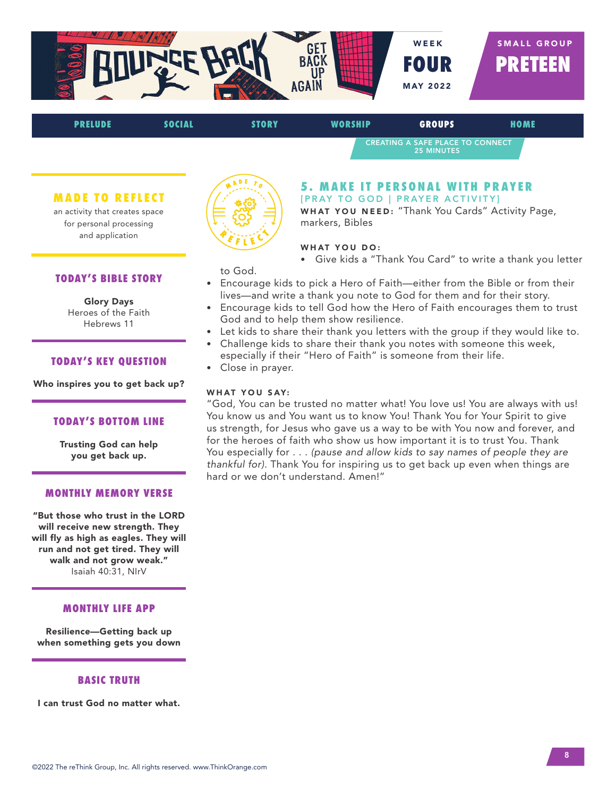

CREATING A SAFE PLACE TO CONNECT 25 MINUTES

## **MADE TO REFLECT**

an activity that creates space for personal processing and application

## **TODAY'S BIBLE STORY**

Glory Days Heroes of the Faith Hebrews 11

#### **TODAY'S KEY QUESTION**

Who inspires you to get back up?

### **TODAY'S BOTTOM LINE**

Trusting God can help you get back up.

## **MONTHLY MEMORY VERSE**

"But those who trust in the LORD will receive new strength. They will fly as high as eagles. They will run and not get tired. They will walk and not grow weak." Isaiah 40:31, NIrV

#### **MONTHLY LIFE APP**

Resilience—Getting back up when something gets you down

## **BASIC TRUTH**

I can trust God no matter what.



### **5. MAKE IT PERSONAL WITH PRAYER** [PRAY TO GOD | PRAYER ACTIVITY]

WHAT YOU NEED: "Thank You Cards" Activity Page, markers, Bibles

#### WHAT YOU DO:

• Give kids a "Thank You Card" to write a thank you letter

to God.

- Encourage kids to pick a Hero of Faith—either from the Bible or from their lives—and write a thank you note to God for them and for their story.
- Encourage kids to tell God how the Hero of Faith encourages them to trust God and to help them show resilience.
- Let kids to share their thank you letters with the group if they would like to.
- Challenge kids to share their thank you notes with someone this week, especially if their "Hero of Faith" is someone from their life.
- Close in prayer.

## WHAT YOU SAY:

"God, You can be trusted no matter what! You love us! You are always with us! You know us and You want us to know You! Thank You for Your Spirit to give us strength, for Jesus who gave us a way to be with You now and forever, and for the heroes of faith who show us how important it is to trust You. Thank You especially for . . . *(pause and allow kids to say names of people they are thankful for)*. Thank You for inspiring us to get back up even when things are hard or we don't understand. Amen!"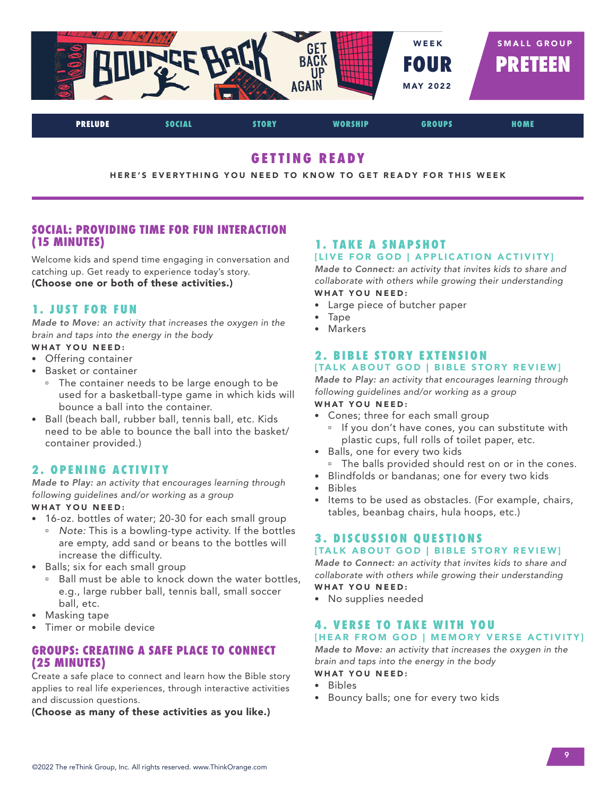

# **GETTING READY**

HERE'S EVERYTHING YOU NEED TO KNOW TO GET READY FOR THIS WEEK

## **SOCIAL: PROVIDING TIME FOR FUN INTERACTION (15 MINUTES)**

Welcome kids and spend time engaging in conversation and catching up. Get ready to experience today's story. (Choose one or both of these activities.)

## **1. JUST FOR FUN**

*Made to Move: an activity that increases the oxygen in the brain and taps into the energy in the body* 

- WHAT YOU NEED:
- Offering container
- Basket or container
	- <sup>o</sup> The container needs to be large enough to be used for a basketball-type game in which kids will bounce a ball into the container.
- Ball (beach ball, rubber ball, tennis ball, etc. Kids need to be able to bounce the ball into the basket/ container provided.)

## **2. OPENING ACTIVITY**

*Made to Play: an activity that encourages learning through following guidelines and/or working as a group* WHAT YOU NEED:

- 16-oz. bottles of water; 20-30 for each small group
	- <sup>**B</sup>** *Note: This is a bowling-type activity. If the bottles*</sup> are empty, add sand or beans to the bottles will increase the difficulty.
- Balls; six for each small group
	- <sup>□</sup> Ball must be able to knock down the water bottles, e.g., large rubber ball, tennis ball, small soccer ball, etc.
- Masking tape
- Timer or mobile device

## **GROUPS: CREATING A SAFE PLACE TO CONNECT (25 MINUTES)**

Create a safe place to connect and learn how the Bible story applies to real life experiences, through interactive activities and discussion questions.

(Choose as many of these activities as you like.)

## **1. TAKE A SNAPSHOT** [LIVE FOR GOD | APPLICATION ACTIVITY]

*Made to Connect: an activity that invites kids to share and collaborate with others while growing their understanding* WHAT YOU NEED:

- Large piece of butcher paper
- Tape
- Markers

## **2. BIBLE STORY EXTENSION** [TALK ABOUT GOD | BIBLE STORY REVIEW]

*Made to Play: an activity that encourages learning through following guidelines and/or working as a group*

## WHAT YOU NEED:

- Cones; three for each small group
	- <sup>n</sup> If you don't have cones, you can substitute with plastic cups, full rolls of toilet paper, etc.
- Balls, one for every two kids <sup>o</sup> The balls provided should rest on or in the cones.
- Blindfolds or bandanas; one for every two kids
- Bibles
- Items to be used as obstacles. (For example, chairs, tables, beanbag chairs, hula hoops, etc.)

## **3. DISCUSSION OUESTIONS** [TALK ABOUT GOD | BIBLE STORY REVIEW]

*Made to Connect: an activity that invites kids to share and collaborate with others while growing their understanding* WHAT YOU NEED:

• No supplies needed

# **4. VERSE TO TAKE WITH YOU**

## [HEAR FROM GOD | MEMORY VERSE ACTIVITY]

*Made to Move: an activity that increases the oxygen in the brain and taps into the energy in the body* WHAT YOU NEED:

- Bibles
- Bouncy balls; one for every two kids